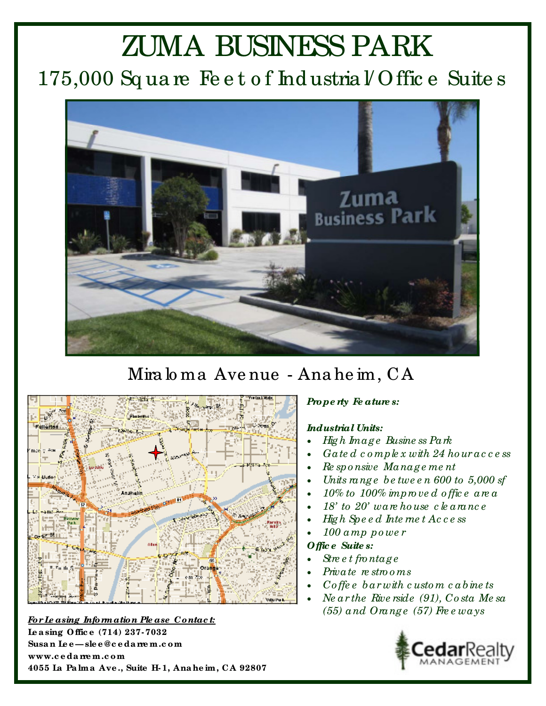# **ZUMA BUSINESS PARK** 175,000 Square Feet of Industrial Office Suites



## Miraloma Avenue - Anaheim, CA



For Leasing Information Please Contact: Leasing Office (714) 237-7032 Susan Lee-slee@cedarrem.com www.cedarem.com 4055 La Palma Ave., Suite H-1, Anaheim, CA 92807

#### Property Features:

#### **Industrial Units:**

- High  $Image$  Business Park
- Gated complex with  $24$  houraccess
- Re sponsive Management
- Units range between 600 to  $5,000$  sf
- $10\%$  to  $100\%$  improved office area
- $18'$  to  $20'$  ware house clearance
- High Speed Internet Access
- 100 amp power

#### Offic e Suite s:

- $\mathop{\mathcal{S}\!\!\!\!\!t}$  are the ntage
- Private restrooms
- Coffee barwith custom cabinets
- Ne ar the Riverside (91), Costa Me sa  $(55)$  and Orange (57) Free ways